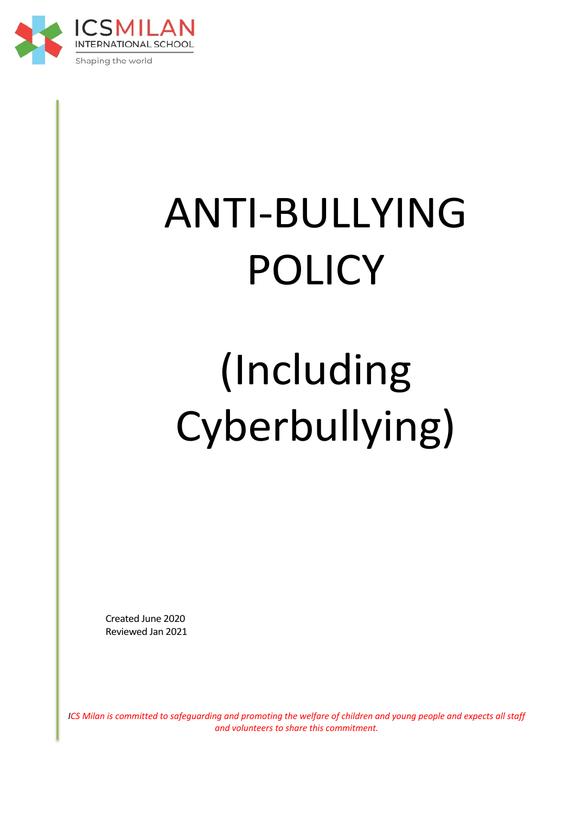

# ANTI-BULLYING POLICY

# (Including Cyberbullying)

Created June 2020 Reviewed Jan 2021

*ICS Milan is committed to safequarding and promoting the welfare of children and young people and expects all staff and volunteers to share this commitment.*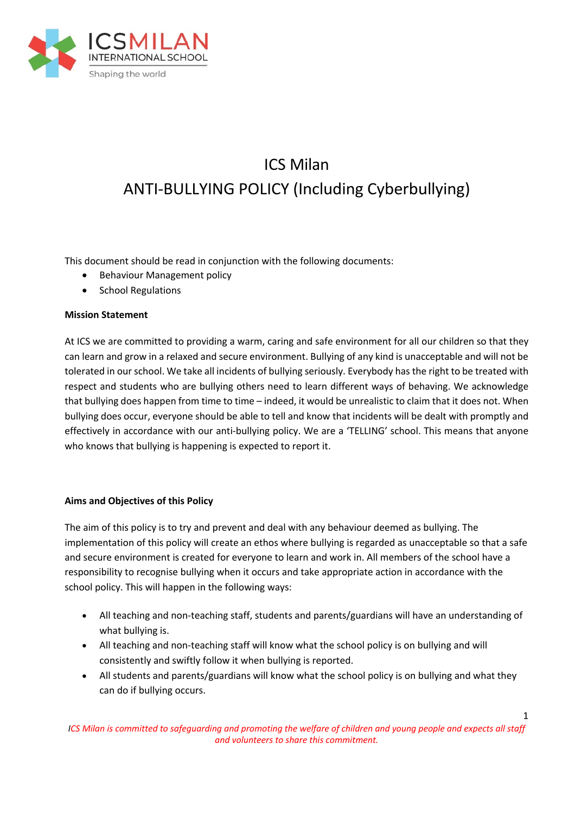

# ICS Milan ANTI-BULLYING POLICY (Including Cyberbullying)

This document should be read in conjunction with the following documents:

- Behaviour Management policy
- School Regulations

#### **Mission Statement**

At ICS we are committed to providing a warm, caring and safe environment for all our children so that they can learn and grow in a relaxed and secure environment. Bullying of any kind is unacceptable and will not be tolerated in our school. We take all incidents of bullying seriously. Everybody has the right to be treated with respect and students who are bullying others need to learn different ways of behaving. We acknowledge that bullying does happen from time to time – indeed, it would be unrealistic to claim that it does not. When bullying does occur, everyone should be able to tell and know that incidents will be dealt with promptly and effectively in accordance with our anti-bullying policy. We are a 'TELLING' school. This means that anyone who knows that bullying is happening is expected to report it.

#### **Aims and Objectives of this Policy**

The aim of this policy is to try and prevent and deal with any behaviour deemed as bullying. The implementation of this policy will create an ethos where bullying is regarded as unacceptable so that a safe and secure environment is created for everyone to learn and work in. All members of the school have a responsibility to recognise bullying when it occurs and take appropriate action in accordance with the school policy. This will happen in the following ways:

- All teaching and non-teaching staff, students and parents/guardians will have an understanding of what bullying is.
- All teaching and non-teaching staff will know what the school policy is on bullying and will consistently and swiftly follow it when bullying is reported.
- All students and parents/guardians will know what the school policy is on bullying and what they can do if bullying occurs.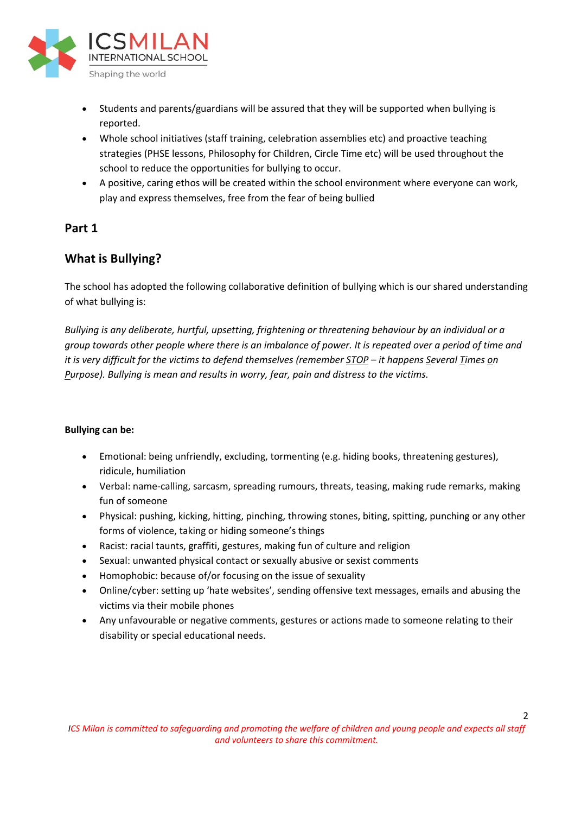

- Students and parents/guardians will be assured that they will be supported when bullying is reported.
- Whole school initiatives (staff training, celebration assemblies etc) and proactive teaching strategies (PHSE lessons, Philosophy for Children, Circle Time etc) will be used throughout the school to reduce the opportunities for bullying to occur.
- A positive, caring ethos will be created within the school environment where everyone can work, play and express themselves, free from the fear of being bullied

### **Part 1**

# **What is Bullying?**

The school has adopted the following collaborative definition of bullying which is our shared understanding of what bullying is:

*Bullying is any deliberate, hurtful, upsetting, frightening or threatening behaviour by an individual or a group towards other people where there is an imbalance of power. It is repeated over a period of time and it is very difficult for the victims to defend themselves (remember STOP – it happens Several Times on Purpose). Bullying is mean and results in worry, fear, pain and distress to the victims.*

#### **Bullying can be:**

- Emotional: being unfriendly, excluding, tormenting (e.g. hiding books, threatening gestures), ridicule, humiliation
- Verbal: name-calling, sarcasm, spreading rumours, threats, teasing, making rude remarks, making fun of someone
- Physical: pushing, kicking, hitting, pinching, throwing stones, biting, spitting, punching or any other forms of violence, taking or hiding someone's things
- Racist: racial taunts, graffiti, gestures, making fun of culture and religion
- Sexual: unwanted physical contact or sexually abusive or sexist comments
- Homophobic: because of/or focusing on the issue of sexuality
- Online/cyber: setting up 'hate websites', sending offensive text messages, emails and abusing the victims via their mobile phones
- Any unfavourable or negative comments, gestures or actions made to someone relating to their disability or special educational needs.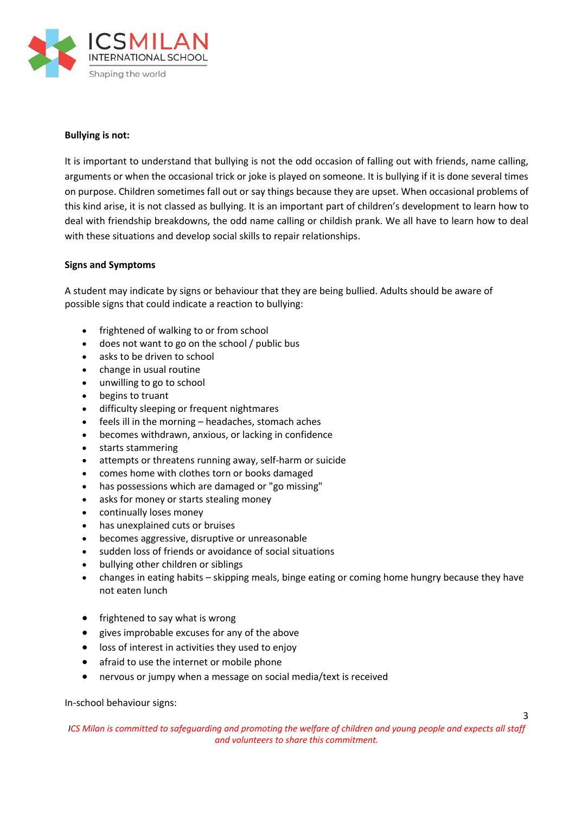

#### **Bullying is not:**

It is important to understand that bullying is not the odd occasion of falling out with friends, name calling, arguments or when the occasional trick or joke is played on someone. It is bullying if it is done several times on purpose. Children sometimes fall out or say things because they are upset. When occasional problems of this kind arise, it is not classed as bullying. It is an important part of children's development to learn how to deal with friendship breakdowns, the odd name calling or childish prank. We all have to learn how to deal with these situations and develop social skills to repair relationships.

#### **Signs and Symptoms**

A student may indicate by signs or behaviour that they are being bullied. Adults should be aware of possible signs that could indicate a reaction to bullying:

- frightened of walking to or from school
- does not want to go on the school / public bus
- asks to be driven to school
- change in usual routine
- unwilling to go to school
- begins to truant
- difficulty sleeping or frequent nightmares
- feels ill in the morning headaches, stomach aches
- becomes withdrawn, anxious, or lacking in confidence
- starts stammering
- attempts or threatens running away, self-harm or suicide
- comes home with clothes torn or books damaged
- has possessions which are damaged or "go missing"
- asks for money or starts stealing money
- continually loses money
- has unexplained cuts or bruises
- becomes aggressive, disruptive or unreasonable
- sudden loss of friends or avoidance of social situations
- bullying other children or siblings
- changes in eating habits skipping meals, binge eating or coming home hungry because they have not eaten lunch
- frightened to say what is wrong
- gives improbable excuses for any of the above
- loss of interest in activities they used to enjoy
- afraid to use the internet or mobile phone
- nervous or jumpy when a message on social media/text is received

In-school behaviour signs:

*ICS Milan is committed to safequarding and promoting the welfare of children and young people and expects all staff and volunteers to share this commitment.*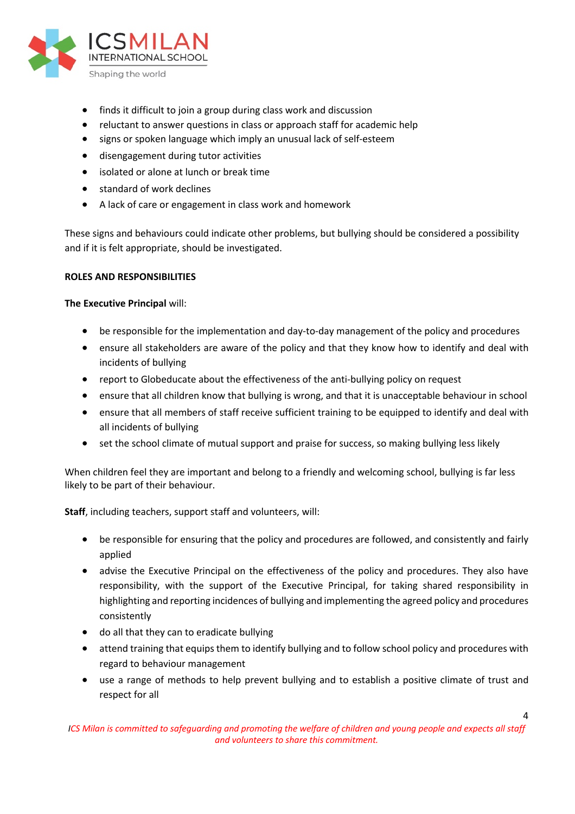

- finds it difficult to join a group during class work and discussion
- reluctant to answer questions in class or approach staff for academic help
- signs or spoken language which imply an unusual lack of self-esteem
- disengagement during tutor activities
- isolated or alone at lunch or break time
- standard of work declines
- A lack of care or engagement in class work and homework

These signs and behaviours could indicate other problems, but bullying should be considered a possibility and if it is felt appropriate, should be investigated.

#### **ROLES AND RESPONSIBILITIES**

**The Executive Principal** will:

- be responsible for the implementation and day-to-day management of the policy and procedures
- ensure all stakeholders are aware of the policy and that they know how to identify and deal with incidents of bullying
- report to Globeducate about the effectiveness of the anti-bullying policy on request
- ensure that all children know that bullying is wrong, and that it is unacceptable behaviour in school
- ensure that all members of staff receive sufficient training to be equipped to identify and deal with all incidents of bullying
- set the school climate of mutual support and praise for success, so making bullying less likely

When children feel they are important and belong to a friendly and welcoming school, bullying is far less likely to be part of their behaviour.

**Staff**, including teachers, support staff and volunteers, will:

- be responsible for ensuring that the policy and procedures are followed, and consistently and fairly applied
- advise the Executive Principal on the effectiveness of the policy and procedures. They also have responsibility, with the support of the Executive Principal, for taking shared responsibility in highlighting and reporting incidences of bullying and implementing the agreed policy and procedures consistently
- do all that they can to eradicate bullying
- attend training that equips them to identify bullying and to follow school policy and procedures with regard to behaviour management
- use a range of methods to help prevent bullying and to establish a positive climate of trust and respect for all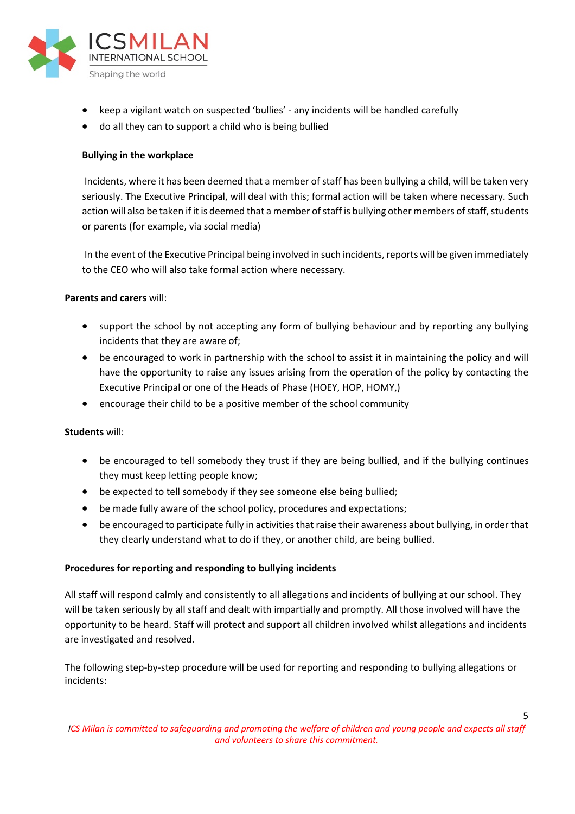

- keep a vigilant watch on suspected 'bullies' any incidents will be handled carefully
- do all they can to support a child who is being bullied

#### **Bullying in the workplace**

Incidents, where it has been deemed that a member of staff has been bullying a child, will be taken very seriously. The Executive Principal, will deal with this; formal action will be taken where necessary. Such action will also be taken if it is deemed that a member of staff is bullying other members of staff, students or parents (for example, via social media)

In the event of the Executive Principal being involved in such incidents, reports will be given immediately to the CEO who will also take formal action where necessary.

#### **Parents and carers** will:

- support the school by not accepting any form of bullying behaviour and by reporting any bullying incidents that they are aware of;
- be encouraged to work in partnership with the school to assist it in maintaining the policy and will have the opportunity to raise any issues arising from the operation of the policy by contacting the Executive Principal or one of the Heads of Phase (HOEY, HOP, HOMY,)
- encourage their child to be a positive member of the school community

#### **Students** will:

- be encouraged to tell somebody they trust if they are being bullied, and if the bullying continues they must keep letting people know;
- be expected to tell somebody if they see someone else being bullied;
- be made fully aware of the school policy, procedures and expectations;
- be encouraged to participate fully in activities that raise their awareness about bullying, in order that they clearly understand what to do if they, or another child, are being bullied.

#### **Procedures for reporting and responding to bullying incidents**

All staff will respond calmly and consistently to all allegations and incidents of bullying at our school. They will be taken seriously by all staff and dealt with impartially and promptly. All those involved will have the opportunity to be heard. Staff will protect and support all children involved whilst allegations and incidents are investigated and resolved.

The following step-by-step procedure will be used for reporting and responding to bullying allegations or incidents: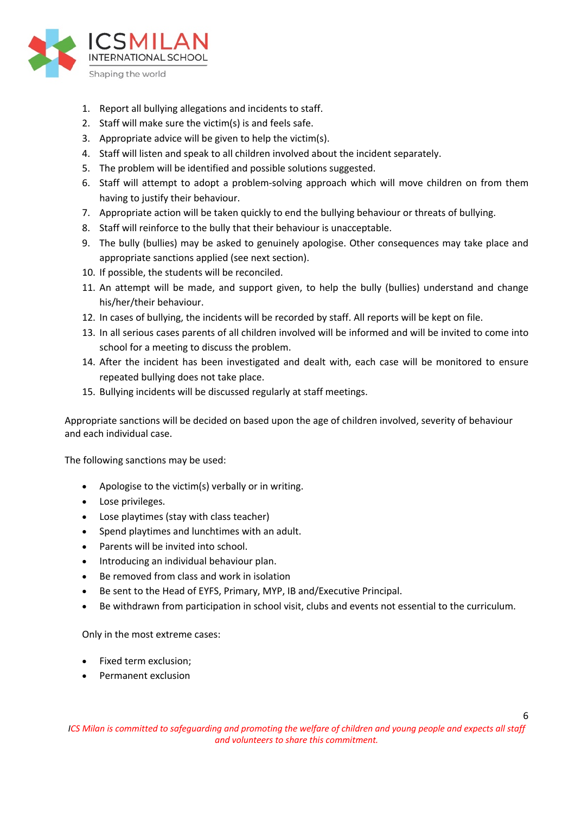

- 1. Report all bullying allegations and incidents to staff.
- 2. Staff will make sure the victim(s) is and feels safe.
- 3. Appropriate advice will be given to help the victim(s).
- 4. Staff will listen and speak to all children involved about the incident separately.
- 5. The problem will be identified and possible solutions suggested.
- 6. Staff will attempt to adopt a problem-solving approach which will move children on from them having to justify their behaviour.
- 7. Appropriate action will be taken quickly to end the bullying behaviour or threats of bullying.
- 8. Staff will reinforce to the bully that their behaviour is unacceptable.
- 9. The bully (bullies) may be asked to genuinely apologise. Other consequences may take place and appropriate sanctions applied (see next section).
- 10. If possible, the students will be reconciled.
- 11. An attempt will be made, and support given, to help the bully (bullies) understand and change his/her/their behaviour.
- 12. In cases of bullying, the incidents will be recorded by staff. All reports will be kept on file.
- 13. In all serious cases parents of all children involved will be informed and will be invited to come into school for a meeting to discuss the problem.
- 14. After the incident has been investigated and dealt with, each case will be monitored to ensure repeated bullying does not take place.
- 15. Bullying incidents will be discussed regularly at staff meetings.

Appropriate sanctions will be decided on based upon the age of children involved, severity of behaviour and each individual case.

The following sanctions may be used:

- Apologise to the victim(s) verbally or in writing.
- Lose privileges.
- Lose playtimes (stay with class teacher)
- Spend playtimes and lunchtimes with an adult.
- Parents will be invited into school.
- Introducing an individual behaviour plan.
- Be removed from class and work in isolation
- Be sent to the Head of EYFS, Primary, MYP, IB and/Executive Principal.
- Be withdrawn from participation in school visit, clubs and events not essential to the curriculum.

Only in the most extreme cases:

- Fixed term exclusion;
- Permanent exclusion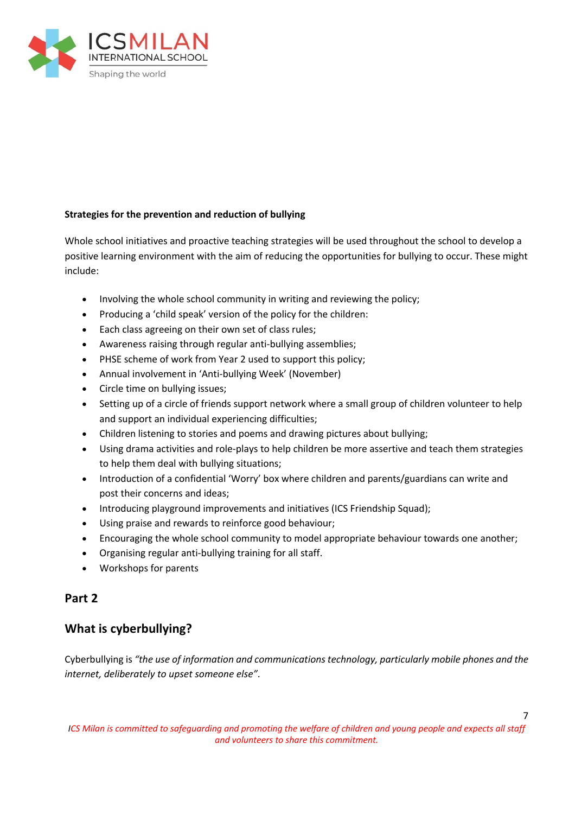

#### **Strategies for the prevention and reduction of bullying**

Whole school initiatives and proactive teaching strategies will be used throughout the school to develop a positive learning environment with the aim of reducing the opportunities for bullying to occur. These might include:

- Involving the whole school community in writing and reviewing the policy;
- Producing a 'child speak' version of the policy for the children:
- Each class agreeing on their own set of class rules;
- Awareness raising through regular anti-bullying assemblies;
- PHSE scheme of work from Year 2 used to support this policy;
- Annual involvement in 'Anti-bullying Week' (November)
- Circle time on bullying issues;
- Setting up of a circle of friends support network where a small group of children volunteer to help and support an individual experiencing difficulties;
- Children listening to stories and poems and drawing pictures about bullying;
- Using drama activities and role-plays to help children be more assertive and teach them strategies to help them deal with bullying situations;
- Introduction of a confidential 'Worry' box where children and parents/guardians can write and post their concerns and ideas;
- Introducing playground improvements and initiatives (ICS Friendship Squad);
- Using praise and rewards to reinforce good behaviour;
- Encouraging the whole school community to model appropriate behaviour towards one another;
- Organising regular anti-bullying training for all staff.
- Workshops for parents

## **Part 2**

## **What is cyberbullying?**

Cyberbullying is *"the use of information and communications technology, particularly mobile phones and the internet, deliberately to upset someone else"*.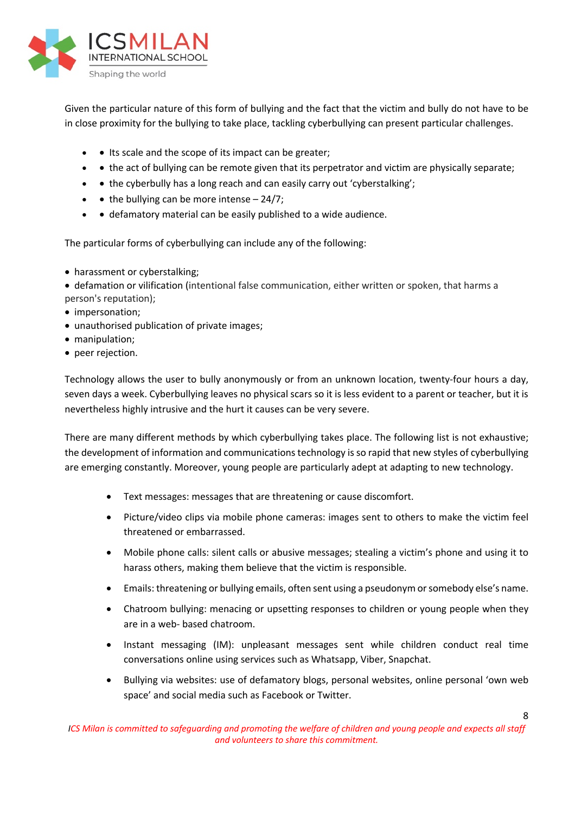

Given the particular nature of this form of bullying and the fact that the victim and bully do not have to be in close proximity for the bullying to take place, tackling cyberbullying can present particular challenges.

- Its scale and the scope of its impact can be greater;
- • the act of bullying can be remote given that its perpetrator and victim are physically separate;
- • the cyberbully has a long reach and can easily carry out 'cyberstalking';
- $\bullet$   $\bullet$  the bullying can be more intense 24/7;
- • defamatory material can be easily published to a wide audience.

The particular forms of cyberbullying can include any of the following:

• harassment or cyberstalking;

• defamation or vilification (intentional false communication, either written or spoken, that harms a person's reputation);

- impersonation;
- unauthorised publication of private images;
- manipulation;
- peer rejection.

Technology allows the user to bully anonymously or from an unknown location, twenty-four hours a day, seven days a week. Cyberbullying leaves no physical scars so it is less evident to a parent or teacher, but it is nevertheless highly intrusive and the hurt it causes can be very severe.

There are many different methods by which cyberbullying takes place. The following list is not exhaustive; the development of information and communications technology is so rapid that new styles of cyberbullying are emerging constantly. Moreover, young people are particularly adept at adapting to new technology.

- Text messages: messages that are threatening or cause discomfort.
- Picture/video clips via mobile phone cameras: images sent to others to make the victim feel threatened or embarrassed.
- Mobile phone calls: silent calls or abusive messages; stealing a victim's phone and using it to harass others, making them believe that the victim is responsible.
- Emails: threatening or bullying emails, often sent using a pseudonym or somebody else's name.
- Chatroom bullying: menacing or upsetting responses to children or young people when they are in a web- based chatroom.
- Instant messaging (IM): unpleasant messages sent while children conduct real time conversations online using services such as Whatsapp, Viber, Snapchat.
- Bullying via websites: use of defamatory blogs, personal websites, online personal 'own web space' and social media such as Facebook or Twitter.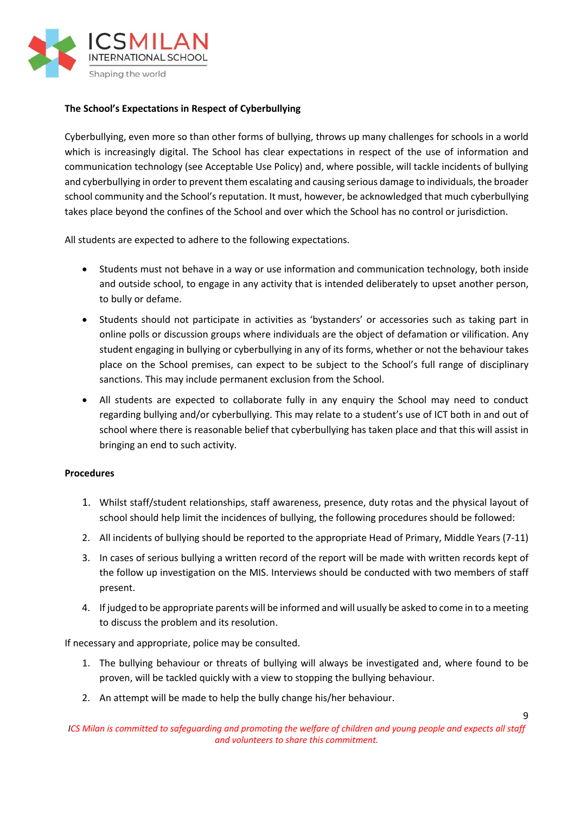

#### **The School's Expectations in Respect of Cyberbullying**

Cyberbullying, even more so than other forms of bullying, throws up many challenges for schools in a world which is increasingly digital. The School has clear expectations in respect of the use of information and communication technology (see Acceptable Use Policy) and, where possible, will tackle incidents of bullying and cyberbullying in order to prevent them escalating and causing serious damage to individuals, the broader school community and the School's reputation. It must, however, be acknowledged that much cyberbullying takes place beyond the confines of the School and over which the School has no control or jurisdiction.

All students are expected to adhere to the following expectations.

- Students must not behave in a way or use information and communication technology, both inside and outside school, to engage in any activity that is intended deliberately to upset another person, to bully or defame.
- Students should not participate in activities as 'bystanders' or accessories such as taking part in online polls or discussion groups where individuals are the object of defamation or vilification. Any student engaging in bullying or cyberbullying in any of its forms, whether or not the behaviour takes place on the School premises, can expect to be subject to the School's full range of disciplinary sanctions. This may include permanent exclusion from the School.
- All students are expected to collaborate fully in any enquiry the School may need to conduct regarding bullying and/or cyberbullying. This may relate to a student's use of ICT both in and out of school where there is reasonable belief that cyberbullying has taken place and that this will assist in bringing an end to such activity.

#### **Procedures**

- 1. Whilst staff/student relationships, staff awareness, presence, duty rotas and the physical layout of school should help limit the incidences of bullying, the following procedures should be followed:
- 2. All incidents of bullying should be reported to the appropriate Head of Primary, Middle Years (7-11)
- 3. In cases of serious bullying a written record of the report will be made with written records kept of the follow up investigation on the MIS. Interviews should be conducted with two members of staff present.
- 4. If judged to be appropriate parents will be informed and will usually be asked to come in to a meeting to discuss the problem and its resolution.

If necessary and appropriate, police may be consulted.

- 1. The bullying behaviour or threats of bullying will always be investigated and, where found to be proven, will be tackled quickly with a view to stopping the bullying behaviour.
- 2. An attempt will be made to help the bully change his/her behaviour.

*ICS Milan is committed to safequarding and promoting the welfare of children and young people and expects all staff and volunteers to share this commitment.*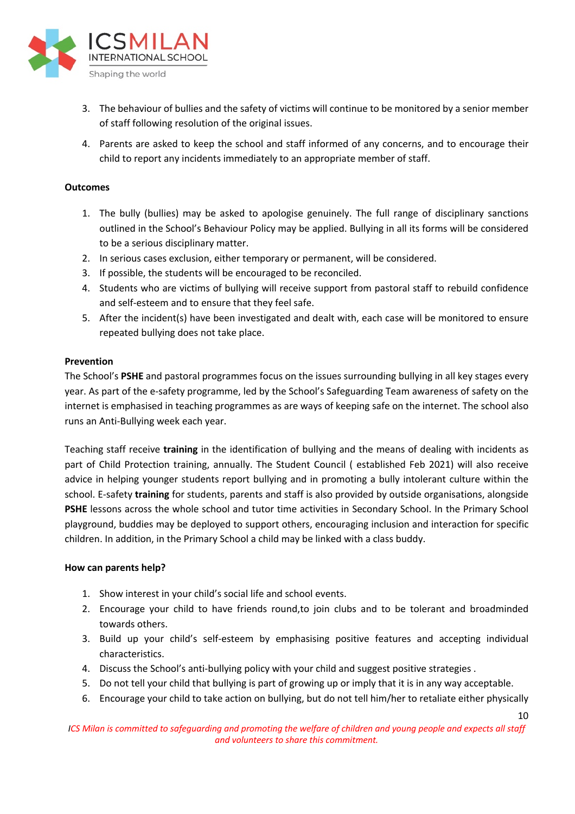

- 3. The behaviour of bullies and the safety of victims will continue to be monitored by a senior member of staff following resolution of the original issues.
- 4. Parents are asked to keep the school and staff informed of any concerns, and to encourage their child to report any incidents immediately to an appropriate member of staff.

#### **Outcomes**

- 1. The bully (bullies) may be asked to apologise genuinely. The full range of disciplinary sanctions outlined in the School's Behaviour Policy may be applied. Bullying in all its forms will be considered to be a serious disciplinary matter.
- 2. In serious cases exclusion, either temporary or permanent, will be considered.
- 3. If possible, the students will be encouraged to be reconciled.
- 4. Students who are victims of bullying will receive support from pastoral staff to rebuild confidence and self-esteem and to ensure that they feel safe.
- 5. After the incident(s) have been investigated and dealt with, each case will be monitored to ensure repeated bullying does not take place.

#### **Prevention**

The School's **PSHE** and pastoral programmes focus on the issues surrounding bullying in all key stages every year. As part of the e-safety programme, led by the School's Safeguarding Team awareness of safety on the internet is emphasised in teaching programmes as are ways of keeping safe on the internet. The school also runs an Anti-Bullying week each year.

Teaching staff receive **training** in the identification of bullying and the means of dealing with incidents as part of Child Protection training, annually. The Student Council ( established Feb 2021) will also receive advice in helping younger students report bullying and in promoting a bully intolerant culture within the school. E-safety **training** for students, parents and staff is also provided by outside organisations, alongside **PSHE** lessons across the whole school and tutor time activities in Secondary School. In the Primary School playground, buddies may be deployed to support others, encouraging inclusion and interaction for specific children. In addition, in the Primary School a child may be linked with a class buddy.

#### **How can parents help?**

- 1. Show interest in your child's social life and school events.
- 2. Encourage your child to have friends round,to join clubs and to be tolerant and broadminded towards others.
- 3. Build up your child's self-esteem by emphasising positive features and accepting individual characteristics.
- 4. Discuss the School's anti-bullying policy with your child and suggest positive strategies .
- 5. Do not tell your child that bullying is part of growing up or imply that it is in any way acceptable.
- 6. Encourage your child to take action on bullying, but do not tell him/her to retaliate either physically